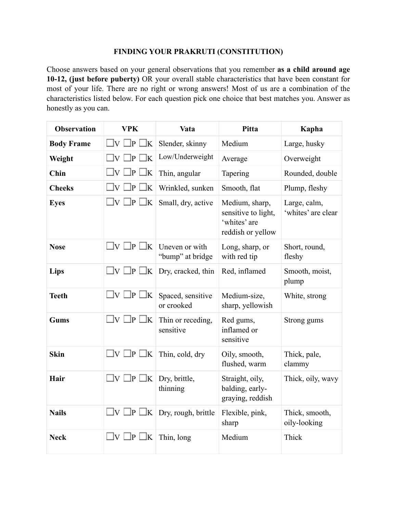## **FINDING YOUR PRAKRUTI (CONSTITUTION)**

Choose answers based on your general observations that you remember **as a child around age 10-12, (just before puberty)** OR your overall stable characteristics that have been constant for most of your life. There are no right or wrong answers! Most of us are a combination of the characteristics listed below. For each question pick one choice that best matches you. Answer as honestly as you can.

| <b>Observation</b> | <b>VPK</b>                             | Vata                               | <b>Pitta</b>                                                               | Kapha                              |
|--------------------|----------------------------------------|------------------------------------|----------------------------------------------------------------------------|------------------------------------|
| <b>Body Frame</b>  | $\exists v \; \Box P$<br>ÎΚ.           | Slender, skinny                    | Medium                                                                     | Large, husky                       |
| Weight             | $\Box$ v $\Gamma$<br>_]p [<br>lk.      | Low/Underweight                    | Average                                                                    | Overweight                         |
| Chin               | $\Box$ v [<br>]p [<br>lК               | Thin, angular                      | Tapering                                                                   | Rounded, double                    |
| <b>Cheeks</b>      | $\exists v$<br>]p<br>lΚ                | Wrinkled, sunken                   | Smooth, flat                                                               | Plump, fleshy                      |
| <b>Eyes</b>        | $\square$ v $\square$ p $\square$ k    | Small, dry, active                 | Medium, sharp,<br>sensitive to light,<br>'whites' are<br>reddish or yellow | Large, calm,<br>'whites' are clear |
| <b>Nose</b>        | $\Box$ v $\Box$ p $\Box$ k             | Uneven or with<br>"bump" at bridge | Long, sharp, or<br>with red tip                                            | Short, round,<br>fleshy            |
| Lips               | $\square$ v $\square$ p $\square$ k    | Dry, cracked, thin                 | Red, inflamed                                                              | Smooth, moist,<br>plump            |
| <b>Teeth</b>       | $\Box V \Box P \Box K$                 | Spaced, sensitive<br>or crooked    | Medium-size,<br>sharp, yellowish                                           | White, strong                      |
| <b>Gums</b>        | $\Box$ v $\Box$ p $\Box$ k             | Thin or receding,<br>sensitive     | Red gums,<br>inflamed or<br>sensitive                                      | Strong gums                        |
| <b>Skin</b>        | $\Box$ $\Box$ $\Box$ $\Box$ $\Box$ $K$ | Thin, cold, dry                    | Oily, smooth,<br>flushed, warm                                             | Thick, pale,<br>clammy             |
| Hair               | $\square$ v $\square$ p $\square$ k    | Dry, brittle,<br>thinning          | Straight, oily,<br>balding, early-<br>graying, reddish                     | Thick, oily, wavy                  |
| <b>Nails</b>       | $\square$ v $\square$ p $\square$ k    | Dry, rough, brittle                | Flexible, pink,<br>sharp                                                   | Thick, smooth,<br>oily-looking     |
| <b>Neck</b>        | $\square$ v $\square$ p $\square$ k    | Thin, long                         | Medium                                                                     | Thick                              |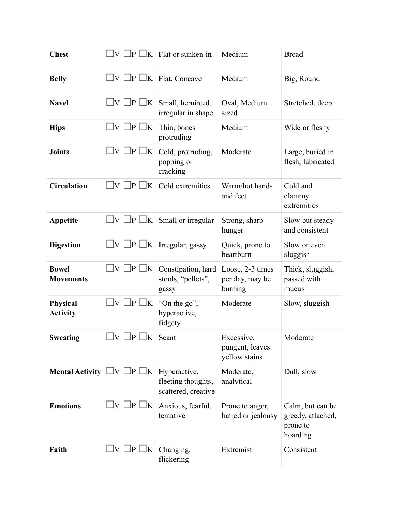| <b>Chest</b>                       |                                      | $\exists$ V $\Box$ P $\Box$ K   Flat or sunken-in         | Medium                                         | <b>Broad</b>                                                  |
|------------------------------------|--------------------------------------|-----------------------------------------------------------|------------------------------------------------|---------------------------------------------------------------|
| <b>Belly</b>                       | $\Box V \Box P \Box K$ Flat, Concave |                                                           | Medium                                         | Big, Round                                                    |
| <b>Navel</b>                       | $\square$ v $\square$ p $\square$ k  | Small, herniated,<br>irregular in shape                   | Oval, Medium<br>sized                          | Stretched, deep                                               |
| <b>Hips</b>                        | $\Box$ v I<br>]P<br>.<br>K           | Thin, bones<br>protruding                                 | Medium                                         | Wide or fleshy                                                |
| <b>Joints</b>                      | $\square$ v $\square$ p<br>$\Box K$  | Cold, protruding,<br>popping or<br>cracking               | Moderate                                       | Large, buried in<br>flesh, lubricated                         |
| <b>Circulation</b>                 | $\square$ v $\square$ p $\square$ k  | Cold extremities                                          | Warm/hot hands<br>and feet                     | Cold and<br>clammy<br>extremities                             |
| Appetite                           | $\square$ v $\square$ p $\square$ k  | Small or irregular                                        | Strong, sharp<br>hunger                        | Slow but steady<br>and consistent                             |
| <b>Digestion</b>                   | $\Box$ v $\Box$ p $\Box$ k           | Irregular, gassy                                          | Quick, prone to<br>heartburn                   | Slow or even<br>sluggish                                      |
| <b>Bowel</b><br><b>Movements</b>   | $\Box$ v $\Box$ p $\Box$ k           | Constipation, hard<br>stools, "pellets",<br>gassy         | Loose, 2-3 times<br>per day, may be<br>burning | Thick, sluggish,<br>passed with<br>mucus                      |
| <b>Physical</b><br><b>Activity</b> | $\square$ v $\square$ p $\square$ k  | "On the go",<br>hyperactive,<br>fidgety                   | Moderate                                       | Slow, sluggish                                                |
| <b>Sweating</b>                    | $\Box V \Box P \Box K$ Scant         |                                                           | Excessive,<br>pungent, leaves<br>yellow stains | Moderate                                                      |
| <b>Mental Activity</b>             | $\Box V \Box P \Box K$               | Hyperactive,<br>fleeting thoughts,<br>scattered, creative | Moderate,<br>analytical                        | Dull, slow                                                    |
| <b>Emotions</b>                    | $\square$ v $\square$ p $\square$ k  | Anxious, fearful,<br>tentative                            | Prone to anger,<br>hatred or jealousy          | Calm, but can be<br>greedy, attached,<br>prone to<br>hoarding |
| Faith                              | $\square$ v $\square$ p $\square$ k  | Changing,<br>flickering                                   | Extremist                                      | Consistent                                                    |